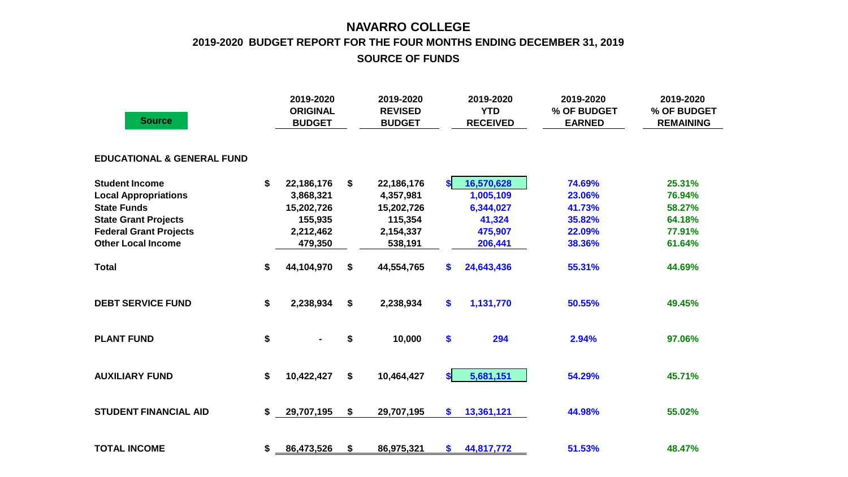## **NAVARRO COLLEGE 2019-2020 BUDGET REPORT FOR THE FOUR MONTHS ENDING DECEMBER 31, 2019 SOURCE OF FUNDS**

| <b>Source</b>                         | 2019-2020<br><b>ORIGINAL</b><br><b>BUDGET</b> | 2019-2020<br><b>REVISED</b><br><b>BUDGET</b> | 2019-2020<br><b>YTD</b><br><b>RECEIVED</b> | 2019-2020<br>% OF BUDGET<br><b>EARNED</b> | 2019-2020<br>% OF BUDGET<br><b>REMAINING</b> |
|---------------------------------------|-----------------------------------------------|----------------------------------------------|--------------------------------------------|-------------------------------------------|----------------------------------------------|
| <b>EDUCATIONAL &amp; GENERAL FUND</b> |                                               |                                              |                                            |                                           |                                              |
| <b>Student Income</b>                 | \$<br>22,186,176                              | \$<br>22,186,176                             | 16,570,628<br>\$                           | 74.69%                                    | 25.31%                                       |
| <b>Local Appropriations</b>           | 3,868,321                                     | 4,357,981                                    | 1,005,109                                  | 23.06%                                    | 76.94%                                       |
| <b>State Funds</b>                    | 15,202,726                                    | 15,202,726                                   | 6,344,027                                  | 41.73%                                    | 58.27%                                       |
| <b>State Grant Projects</b>           | 155,935                                       | 115,354                                      | 41,324                                     | 35.82%                                    | 64.18%                                       |
| <b>Federal Grant Projects</b>         | 2,212,462                                     | 2,154,337                                    | 475,907                                    | 22.09%                                    | 77.91%                                       |
| <b>Other Local Income</b>             | 479,350                                       | 538,191                                      | 206,441                                    | 38.36%                                    | 61.64%                                       |
| <b>Total</b>                          | \$<br>44,104,970                              | \$<br>44,554,765                             | 24,643,436<br>\$                           | 55.31%                                    | 44.69%                                       |
| <b>DEBT SERVICE FUND</b>              | \$<br>2,238,934                               | \$<br>2,238,934                              | \$<br>1,131,770                            | 50.55%                                    | 49.45%                                       |
| <b>PLANT FUND</b>                     | \$                                            | \$<br>10,000                                 | \$<br>294                                  | 2.94%                                     | 97.06%                                       |
| <b>AUXILIARY FUND</b>                 | \$<br>10,422,427                              | \$<br>10,464,427                             | \$I<br>5,681,151                           | 54.29%                                    | 45.71%                                       |
| <b>STUDENT FINANCIAL AID</b>          | \$<br>29,707,195                              | \$<br>29,707,195                             | 13,361,121<br>\$                           | 44.98%                                    | 55.02%                                       |
| <b>TOTAL INCOME</b>                   | \$<br>86,473,526                              | \$<br>86,975,321                             | 44,817,772<br>\$                           | 51.53%                                    | 48.47%                                       |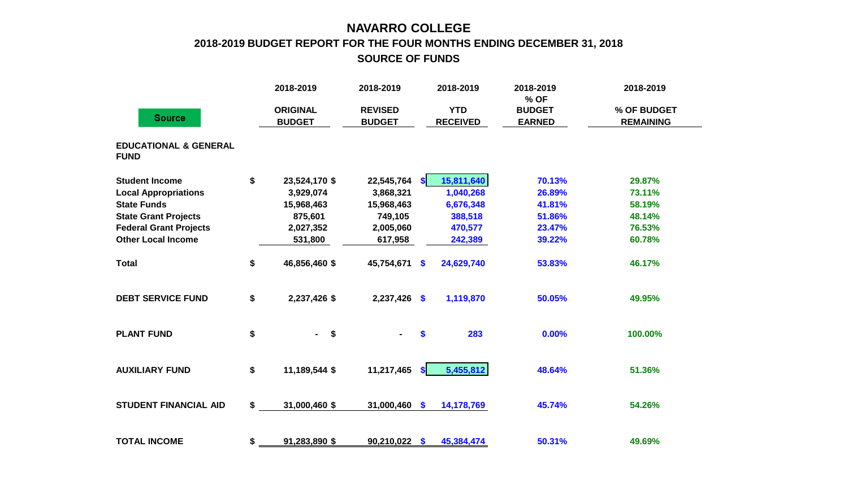## **NAVARRO COLLEGE 2018-2019 BUDGET REPORT FOR THE FOUR MONTHS ENDING DECEMBER 31, 2018 SOURCE OF FUNDS**

|                                                 |    | 2018-2019                    | 2018-2019      |               | 2018-2019       | 2018-2019<br>% OF | 2018-2019        |  |
|-------------------------------------------------|----|------------------------------|----------------|---------------|-----------------|-------------------|------------------|--|
|                                                 |    | <b>ORIGINAL</b>              | <b>REVISED</b> |               | <b>YTD</b>      | <b>BUDGET</b>     | % OF BUDGET      |  |
| <b>Source</b>                                   |    | <b>BUDGET</b>                | <b>BUDGET</b>  |               | <b>RECEIVED</b> | <b>EARNED</b>     | <b>REMAINING</b> |  |
| <b>EDUCATIONAL &amp; GENERAL</b><br><b>FUND</b> |    |                              |                |               |                 |                   |                  |  |
| <b>Student Income</b>                           | \$ | 23,524,170 \$                | 22,545,764     | \$            | 15,811,640      | 70.13%            | 29.87%           |  |
| <b>Local Appropriations</b>                     |    | 3,929,074                    | 3,868,321      |               | 1,040,268       | 26.89%            | 73.11%           |  |
| <b>State Funds</b>                              |    | 15,968,463                   | 15,968,463     |               | 6,676,348       | 41.81%            | 58.19%           |  |
| <b>State Grant Projects</b>                     |    | 875,601                      | 749,105        |               | 388,518         | 51.86%            | 48.14%           |  |
| <b>Federal Grant Projects</b>                   |    | 2,027,352                    | 2,005,060      |               | 470,577         | 23.47%            | 76.53%           |  |
| <b>Other Local Income</b>                       |    | 531,800                      | 617,958        |               | 242,389         | 39.22%            | 60.78%           |  |
| <b>Total</b>                                    | \$ | 46,856,460 \$                | 45,754,671     | \$            | 24,629,740      | 53.83%            | 46.17%           |  |
| <b>DEBT SERVICE FUND</b>                        | \$ | 2,237,426 \$                 | $2,237,426$ \$ |               | 1,119,870       | 50.05%            | 49.95%           |  |
| <b>PLANT FUND</b>                               | \$ | $\sqrt{5}$<br>$\blacksquare$ |                | \$            | 283             | 0.00%             | 100.00%          |  |
| <b>AUXILIARY FUND</b>                           | \$ | 11,189,544 \$                | 11,217,465     | $\mathbf{s}$  | 5,455,812       | 48.64%            | 51.36%           |  |
| <b>STUDENT FINANCIAL AID</b>                    | \$ | 31,000,460 \$                | 31,000,460     | $\mathbf{\$}$ | 14,178,769      | 45.74%            | 54.26%           |  |
| <b>TOTAL INCOME</b>                             | \$ | 91,283,890 \$                | 90,210,022     | $\mathbf{s}$  | 45,384,474      | 50.31%            | 49.69%           |  |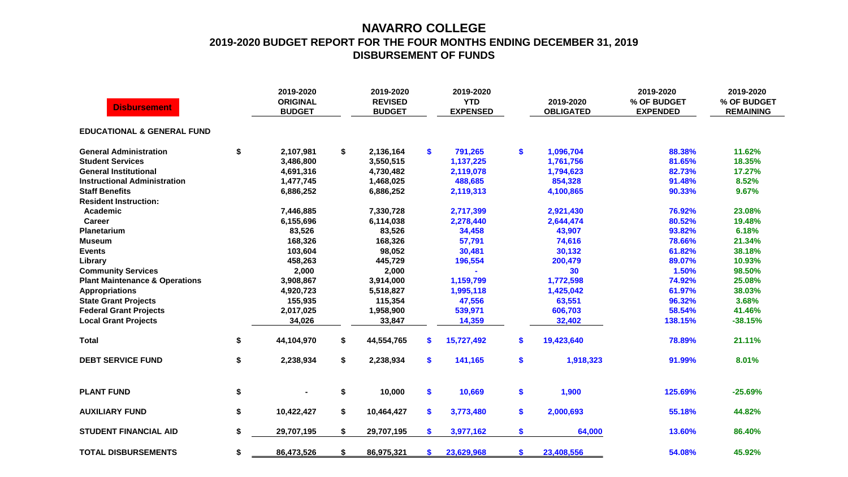## **NAVARRO COLLEGE 2019-2020 BUDGET REPORT FOR THE FOUR MONTHS ENDING DECEMBER 31, 2019 DISBURSEMENT OF FUNDS**

| <b>Disbursement</b>                       | 2019-2020<br><b>ORIGINAL</b><br><b>BUDGET</b> | 2019-2020<br><b>REVISED</b><br><b>BUDGET</b> |     | 2019-2020<br><b>YTD</b><br><b>EXPENSED</b> | 2019-2020<br><b>OBLIGATED</b> | 2019-2020<br>% OF BUDGET<br><b>EXPENDED</b> | 2019-2020<br>% OF BUDGET<br><b>REMAINING</b> |
|-------------------------------------------|-----------------------------------------------|----------------------------------------------|-----|--------------------------------------------|-------------------------------|---------------------------------------------|----------------------------------------------|
| <b>EDUCATIONAL &amp; GENERAL FUND</b>     |                                               |                                              |     |                                            |                               |                                             |                                              |
| <b>General Administration</b>             | \$<br>2,107,981                               | \$<br>2,136,164                              | \$  | 791,265                                    | \$<br>1,096,704               | 88.38%                                      | 11.62%                                       |
| <b>Student Services</b>                   | 3,486,800                                     | 3,550,515                                    |     | 1,137,225                                  | 1,761,756                     | 81.65%                                      | 18.35%                                       |
| <b>General Institutional</b>              | 4,691,316                                     | 4,730,482                                    |     | 2,119,078                                  | 1,794,623                     | 82.73%                                      | 17.27%                                       |
| <b>Instructional Administration</b>       | 1,477,745                                     | 1,468,025                                    |     | 488,685                                    | 854,328                       | 91.48%                                      | 8.52%                                        |
| <b>Staff Benefits</b>                     | 6,886,252                                     | 6,886,252                                    |     | 2,119,313                                  | 4,100,865                     | 90.33%                                      | 9.67%                                        |
| <b>Resident Instruction:</b>              |                                               |                                              |     |                                            |                               |                                             |                                              |
| Academic                                  | 7,446,885                                     | 7,330,728                                    |     | 2,717,399                                  | 2,921,430                     | 76.92%                                      | 23.08%                                       |
| <b>Career</b>                             | 6,155,696                                     | 6,114,038                                    |     | 2,278,440                                  | 2,644,474                     | 80.52%                                      | 19.48%                                       |
| <b>Planetarium</b>                        | 83,526                                        | 83,526                                       |     | 34,458                                     | 43,907                        | 93.82%                                      | 6.18%                                        |
| <b>Museum</b>                             | 168,326                                       | 168,326                                      |     | 57,791                                     | 74,616                        | 78.66%                                      | 21.34%                                       |
| <b>Events</b>                             | 103,604                                       | 98,052                                       |     | 30,481                                     | 30,132                        | 61.82%                                      | 38.18%                                       |
| Library                                   | 458,263                                       | 445,729                                      |     | 196,554                                    | 200,479                       | 89.07%                                      | 10.93%                                       |
| <b>Community Services</b>                 | 2,000                                         | 2,000                                        |     |                                            | 30                            | 1.50%                                       | 98.50%                                       |
| <b>Plant Maintenance &amp; Operations</b> | 3,908,867                                     | 3,914,000                                    |     | 1,159,799                                  | 1,772,598                     | 74.92%                                      | 25.08%                                       |
| <b>Appropriations</b>                     | 4,920,723                                     | 5,518,827                                    |     | 1,995,118                                  | 1,425,042                     | 61.97%                                      | 38.03%                                       |
| <b>State Grant Projects</b>               | 155,935                                       | 115,354                                      |     | 47,556                                     | 63,551                        | 96.32%                                      | 3.68%                                        |
| <b>Federal Grant Projects</b>             | 2,017,025                                     | 1,958,900                                    |     | 539,971                                    | 606,703                       | 58.54%                                      | 41.46%                                       |
| <b>Local Grant Projects</b>               | 34,026                                        | 33,847                                       |     | 14,359                                     | 32,402                        | 138.15%                                     | $-38.15%$                                    |
| <b>Total</b>                              | \$<br>44,104,970                              | \$<br>44,554,765                             | S.  | 15,727,492                                 | \$<br>19,423,640              | 78.89%                                      | 21.11%                                       |
| <b>DEBT SERVICE FUND</b>                  | \$<br>2,238,934                               | \$<br>2,238,934                              | \$. | 141,165                                    | \$<br>1,918,323               | 91.99%                                      | 8.01%                                        |
| <b>PLANT FUND</b>                         | \$                                            | \$<br>10,000                                 | \$  | 10,669                                     | \$<br>1,900                   | 125.69%                                     | $-25.69%$                                    |
| <b>AUXILIARY FUND</b>                     | \$<br>10,422,427                              | \$<br>10,464,427                             | \$  | 3,773,480                                  | \$<br>2,000,693               | 55.18%                                      | 44.82%                                       |
| <b>STUDENT FINANCIAL AID</b>              | \$<br>29,707,195                              | \$<br>29,707,195                             | S.  | 3,977,162                                  | \$<br>64,000                  | 13.60%                                      | 86.40%                                       |
| <b>TOTAL DISBURSEMENTS</b>                | \$<br>86,473,526                              | \$<br>86,975,321                             | S.  | 23,629,968                                 | \$<br>23,408,556              | 54.08%                                      | 45.92%                                       |